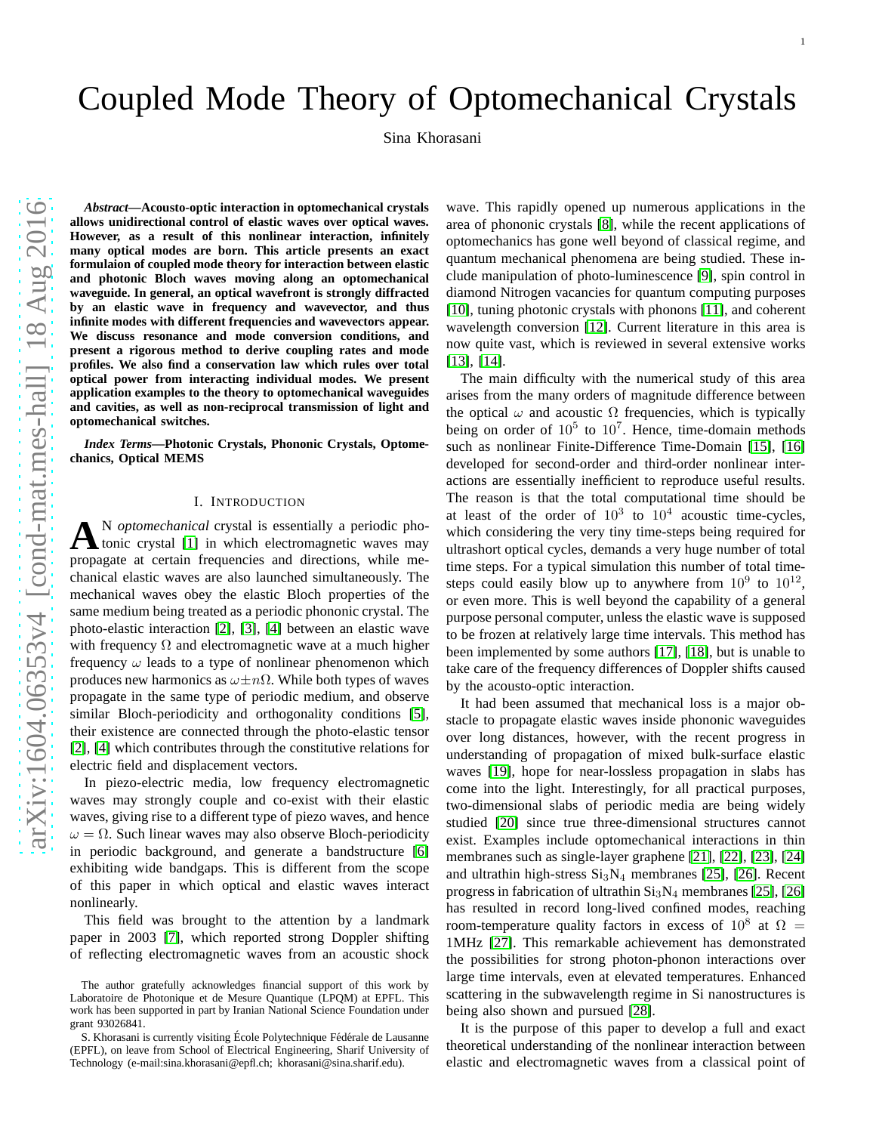# Coupled Mode Theory of Optomechanical Crystals

Sina Khorasani

*Abstract***—Acousto-optic interaction in optomechanical crystals allows unidirectional control of elastic waves over optical waves. However, as a result of this nonlinear interaction, infinitely many optical modes are born. This article presents an exact formulaion of coupled mode theory for interaction between elastic and photonic Bloch waves moving along an optomechanical waveguide. In general, an optical wavefront is strongly diffracted by an elastic wave in frequency and wavevector, and thus infinite modes with different frequencies and wavevectors appear. We discuss resonance and mode conversion conditions, and present a rigorous method to derive coupling rates and mode profiles. We also find a conservation law which rules over total optical power from interacting individual modes. We present application examples to the theory to optomechanical waveguides and cavities, as well as non-reciprocal transmission of light and optomechanical switches.**

*Index Terms***—Photonic Crystals, Phononic Crystals, Optomechanics, Optical MEMS**

### I. INTRODUCTION

A <sup>N</sup> *optomechanical* crystal is essentially a periodic photonic crystal [1] in which electromagnetic waves may propagate at certain frequencies and directions, while me-N *optomechanical* crystal is essentially a periodic photonic crystal [\[1\]](#page-4-0) in which electromagnetic waves may chanical elastic waves are also launched simultaneously. The mechanical waves obey the elastic Bloch properties of the same medium being treated as a periodic phononic crystal. The photo-elastic interaction [\[2\]](#page-4-1), [\[3\]](#page-4-2), [\[4\]](#page-4-3) between an elastic wave with frequency  $\Omega$  and electromagnetic wave at a much higher frequency  $\omega$  leads to a type of nonlinear phenomenon which produces new harmonics as  $\omega \pm n\Omega$ . While both types of waves propagate in the same type of periodic medium, and observe similar Bloch-periodicity and orthogonality conditions [\[5\]](#page-4-4), their existence are connected through the photo-elastic tensor [\[2\]](#page-4-1), [\[4\]](#page-4-3) which contributes through the constitutive relations for electric field and displacement vectors.

In piezo-electric media, low frequency electromagnetic waves may strongly couple and co-exist with their elastic waves, giving rise to a different type of piezo waves, and hence  $\omega = \Omega$ . Such linear waves may also observe Bloch-periodicity in periodic background, and generate a bandstructure [\[6\]](#page-4-5) exhibiting wide bandgaps. This is different from the scope of this paper in which optical and elastic waves interact nonlinearly.

This field was brought to the attention by a landmark paper in 2003 [\[7\]](#page-4-6), which reported strong Doppler shifting of reflecting electromagnetic waves from an acoustic shock wave. This rapidly opened up numerous applications in the area of phononic crystals [\[8\]](#page-4-7), while the recent applications of optomechanics has gone well beyond of classical regime, and quantum mechanical phenomena are being studied. These include manipulation of photo-luminescence [\[9\]](#page-4-8), spin control in diamond Nitrogen vacancies for quantum computing purposes [\[10\]](#page-4-9), tuning photonic crystals with phonons [\[11\]](#page-4-10), and coherent wavelength conversion [\[12\]](#page-4-11). Current literature in this area is now quite vast, which is reviewed in several extensive works [\[13\]](#page-4-12), [\[14\]](#page-4-13).

The main difficulty with the numerical study of this area arises from the many orders of magnitude difference between the optical  $\omega$  and acoustic  $\Omega$  frequencies, which is typically being on order of  $10^5$  to  $10^7$ . Hence, time-domain methods such as nonlinear Finite-Difference Time-Domain [\[15\]](#page-4-14), [\[16\]](#page-4-15) developed for second-order and third-order nonlinear interactions are essentially inefficient to reproduce useful results. The reason is that the total computational time should be at least of the order of  $10^3$  to  $10^4$  acoustic time-cycles, which considering the very tiny time-steps being required for ultrashort optical cycles, demands a very huge number of total time steps. For a typical simulation this number of total timesteps could easily blow up to anywhere from  $10^9$  to  $10^{12}$ , or even more. This is well beyond the capability of a general purpose personal computer, unless the elastic wave is supposed to be frozen at relatively large time intervals. This method has been implemented by some authors [\[17\]](#page-4-16), [\[18\]](#page-4-17), but is unable to take care of the frequency differences of Doppler shifts caused by the acousto-optic interaction.

It had been assumed that mechanical loss is a major obstacle to propagate elastic waves inside phononic waveguides over long distances, however, with the recent progress in understanding of propagation of mixed bulk-surface elastic waves [\[19\]](#page-4-18), hope for near-lossless propagation in slabs has come into the light. Interestingly, for all practical purposes, two-dimensional slabs of periodic media are being widely studied [\[20\]](#page-4-19) since true three-dimensional structures cannot exist. Examples include optomechanical interactions in thin membranes such as single-layer graphene [\[21\]](#page-4-20), [\[22\]](#page-4-21), [\[23\]](#page-4-22), [\[24\]](#page-4-23) and ultrathin high-stress  $Si<sub>3</sub>N<sub>4</sub>$  membranes [\[25\]](#page-4-24), [\[26\]](#page-4-25). Recent progress in fabrication of ultrathin  $Si<sub>3</sub>N<sub>4</sub>$  membranes [\[25\]](#page-4-24), [\[26\]](#page-4-25) has resulted in record long-lived confined modes, reaching room-temperature quality factors in excess of  $10^8$  at  $\Omega =$ 1MHz [\[27\]](#page-5-0). This remarkable achievement has demonstrated the possibilities for strong photon-phonon interactions over large time intervals, even at elevated temperatures. Enhanced scattering in the subwavelength regime in Si nanostructures is being also shown and pursued [\[28\]](#page-5-1).

It is the purpose of this paper to develop a full and exact theoretical understanding of the nonlinear interaction between elastic and electromagnetic waves from a classical point of

The author gratefully acknowledges financial support of this work by Laboratoire de Photonique et de Mesure Quantique (LPQM) at EPFL. This work has been supported in part by Iranian National Science Foundation under grant 93026841.

S. Khorasani is currently visiting École Polytechnique Fédérale de Lausanne (EPFL), on leave from School of Electrical Engineering, Sharif University of Technology (e-mail:sina.khorasani@epfl.ch; khorasani@sina.sharif.edu).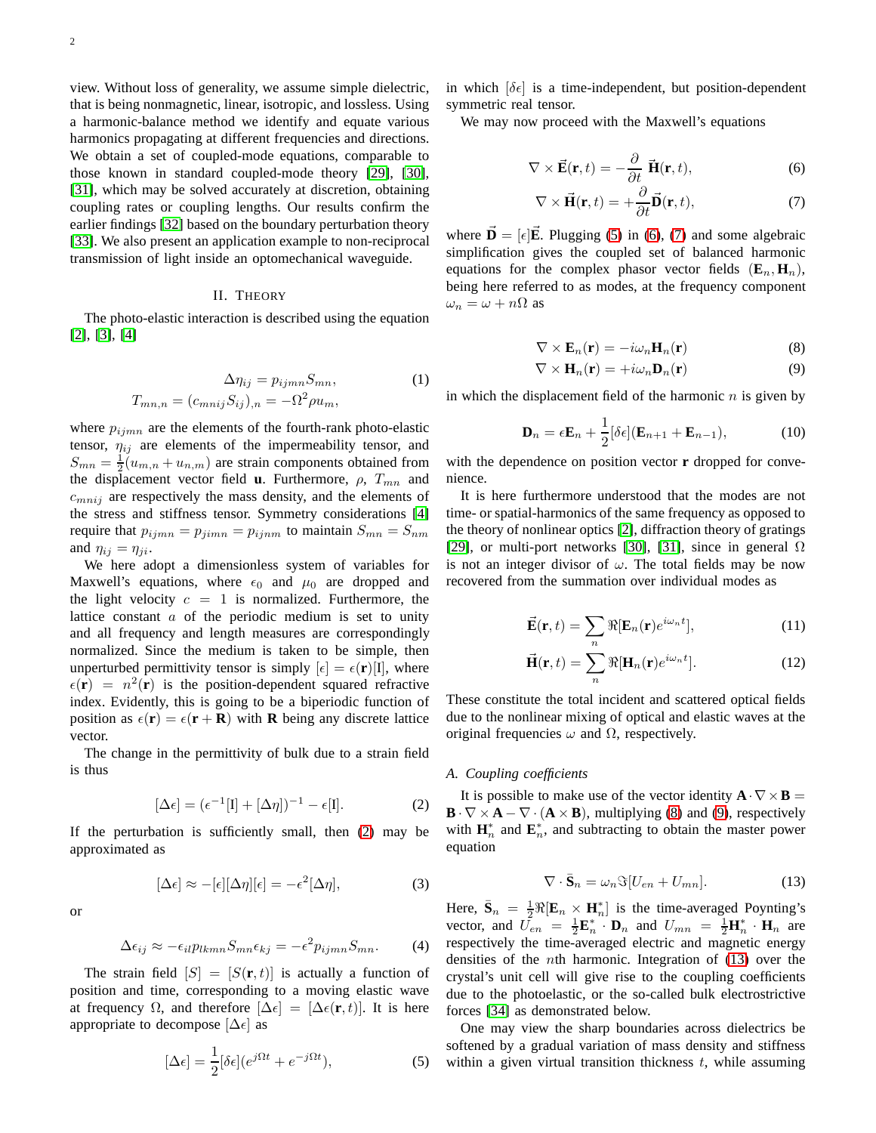view. Without loss of generality, we assume simple dielectric, that is being nonmagnetic, linear, isotropic, and lossless. Using a harmonic-balance method we identify and equate various harmonics propagating at different frequencies and directions. We obtain a set of coupled-mode equations, comparable to those known in standard coupled-mode theory [\[29\]](#page-5-2), [\[30\]](#page-5-3), [\[31\]](#page-5-4), which may be solved accurately at discretion, obtaining coupling rates or coupling lengths. Our results confirm the earlier findings [\[32\]](#page-5-5) based on the boundary perturbation theory [\[33\]](#page-5-6). We also present an application example to non-reciprocal transmission of light inside an optomechanical waveguide.

# II. THEORY

The photo-elastic interaction is described using the equation [\[2\]](#page-4-1), [\[3\]](#page-4-2), [\[4\]](#page-4-3)

$$
\Delta \eta_{ij} = p_{ijmn} S_{mn},
$$
  
\n
$$
T_{mn,n} = (c_{mnij} S_{ij})_{,n} = -\Omega^2 \rho u_m,
$$
\n(1)

where  $p_{ijmn}$  are the elements of the fourth-rank photo-elastic tensor,  $\eta_{ij}$  are elements of the impermeability tensor, and  $S_{mn} = \frac{1}{2}(u_{m,n} + u_{n,m})$  are strain components obtained from the displacement vector field **u**. Furthermore,  $\rho$ ,  $T_{mn}$  and  $c_{mnij}$  are respectively the mass density, and the elements of the stress and stiffness tensor. Symmetry considerations [\[4\]](#page-4-3) require that  $p_{ijmn} = p_{jimn} = p_{ijnm}$  to maintain  $S_{mn} = S_{nm}$ and  $\eta_{ij} = \eta_{ji}$ .

We here adopt a dimensionless system of variables for Maxwell's equations, where  $\epsilon_0$  and  $\mu_0$  are dropped and the light velocity  $c = 1$  is normalized. Furthermore, the lattice constant a of the periodic medium is set to unity and all frequency and length measures are correspondingly normalized. Since the medium is taken to be simple, then unperturbed permittivity tensor is simply  $[\epsilon] = \epsilon(\mathbf{r})[1]$ , where  $\epsilon(\mathbf{r}) = n^2(\mathbf{r})$  is the position-dependent squared refractive index. Evidently, this is going to be a biperiodic function of position as  $\epsilon(\mathbf{r}) = \epsilon(\mathbf{r} + \mathbf{R})$  with **R** being any discrete lattice vector.

The change in the permittivity of bulk due to a strain field is thus

<span id="page-1-0"></span>
$$
[\Delta \epsilon] = (\epsilon^{-1}[\mathbf{I}] + [\Delta \eta])^{-1} - \epsilon[\mathbf{I}]. \tag{2}
$$

If the perturbation is sufficiently small, then [\(2\)](#page-1-0) may be approximated as

$$
[\Delta \epsilon] \approx -[\epsilon][\Delta \eta][\epsilon] = -\epsilon^2[\Delta \eta],\tag{3}
$$

or

$$
\Delta \epsilon_{ij} \approx -\epsilon_{il} p_{lkmn} S_{mn} \epsilon_{kj} = -\epsilon^2 p_{ijmn} S_{mn}.
$$
 (4)

The strain field  $[S] = [S(\mathbf{r}, t)]$  is actually a function of position and time, corresponding to a moving elastic wave at frequency  $\Omega$ , and therefore  $[\Delta \epsilon] = [\Delta \epsilon(\mathbf{r}, t)]$ . It is here appropriate to decompose  $[\Delta \epsilon]$  as

<span id="page-1-1"></span>
$$
[\Delta \epsilon] = \frac{1}{2} [\delta \epsilon] (e^{j\Omega t} + e^{-j\Omega t}), \tag{5}
$$

in which  $\lceil \delta \epsilon \rceil$  is a time-independent, but position-dependent symmetric real tensor.

We may now proceed with the Maxwell's equations

<span id="page-1-2"></span>
$$
\nabla \times \vec{\mathbf{E}}(\mathbf{r},t) = -\frac{\partial}{\partial t} \vec{\mathbf{H}}(\mathbf{r},t),
$$
 (6)

$$
\nabla \times \vec{\mathbf{H}}(\mathbf{r},t) = +\frac{\partial}{\partial t} \vec{\mathbf{D}}(\mathbf{r},t),\tag{7}
$$

where  $\vec{\mathbf{D}} = [\epsilon] \vec{\mathbf{E}}$ . Plugging [\(5\)](#page-1-1) in [\(6\)](#page-1-2), [\(7\)](#page-1-2) and some algebraic simplification gives the coupled set of balanced harmonic equations for the complex phasor vector fields  $(\mathbf{E}_n, \mathbf{H}_n)$ , being here referred to as modes, at the frequency component  $\omega_n = \omega + n\Omega$  as

<span id="page-1-3"></span>
$$
\nabla \times \mathbf{E}_n(\mathbf{r}) = -i\omega_n \mathbf{H}_n(\mathbf{r})
$$
 (8)

$$
\nabla \times \mathbf{H}_n(\mathbf{r}) = +i\omega_n \mathbf{D}_n(\mathbf{r})
$$
\n(9)

in which the displacement field of the harmonic  $n$  is given by

<span id="page-1-5"></span>
$$
\mathbf{D}_n = \epsilon \mathbf{E}_n + \frac{1}{2} [\delta \epsilon] (\mathbf{E}_{n+1} + \mathbf{E}_{n-1}), \tag{10}
$$

with the dependence on position vector **r** dropped for convenience.

It is here furthermore understood that the modes are not time- or spatial-harmonics of the same frequency as opposed to the theory of nonlinear optics [\[2\]](#page-4-1), diffraction theory of gratings [\[29\]](#page-5-2), or multi-port networks [\[30\]](#page-5-3), [\[31\]](#page-5-4), since in general  $\Omega$ is not an integer divisor of  $\omega$ . The total fields may be now recovered from the summation over individual modes as

$$
\vec{\mathbf{E}}(\mathbf{r},t) = \sum_{n} \Re[\mathbf{E}_n(\mathbf{r})e^{i\omega_n t}], \qquad (11)
$$

$$
\vec{\mathbf{H}}(\mathbf{r},t) = \sum_{n} \Re[\mathbf{H}_n(\mathbf{r})e^{i\omega_n t}].
$$
 (12)

These constitute the total incident and scattered optical fields due to the nonlinear mixing of optical and elastic waves at the original frequencies  $\omega$  and  $\Omega$ , respectively.

#### *A. Coupling coefficients*

It is possible to make use of the vector identity  $\mathbf{A} \cdot \nabla \times \mathbf{B} =$  $\mathbf{B} \cdot \nabla \times \mathbf{A} - \nabla \cdot (\mathbf{A} \times \mathbf{B})$ , multiplying [\(8\)](#page-1-3) and [\(9\)](#page-1-3), respectively with  $\mathbf{H}_n^*$  and  $\mathbf{E}_n^*$ , and subtracting to obtain the master power equation

<span id="page-1-4"></span>
$$
\nabla \cdot \bar{\mathbf{S}}_n = \omega_n \Im[U_{en} + U_{mn}]. \tag{13}
$$

Here,  $\bar{\mathbf{S}}_n = \frac{1}{2} \Re[\mathbf{E}_n \times \mathbf{H}_n^*]$  is the time-averaged Poynting's vector, and  $\overline{U}_{en} = \frac{1}{2} \mathbf{E}_n^* \cdot \mathbf{D}_n$  and  $U_{mn} = \frac{1}{2} \mathbf{H}_n^* \cdot \mathbf{H}_n$  are respectively the time-averaged electric and magnetic energy densities of the nth harmonic. Integration of [\(13\)](#page-1-4) over the crystal's unit cell will give rise to the coupling coefficients due to the photoelastic, or the so-called bulk electrostrictive forces [\[34\]](#page-5-7) as demonstrated below.

One may view the sharp boundaries across dielectrics be softened by a gradual variation of mass density and stiffness within a given virtual transition thickness  $t$ , while assuming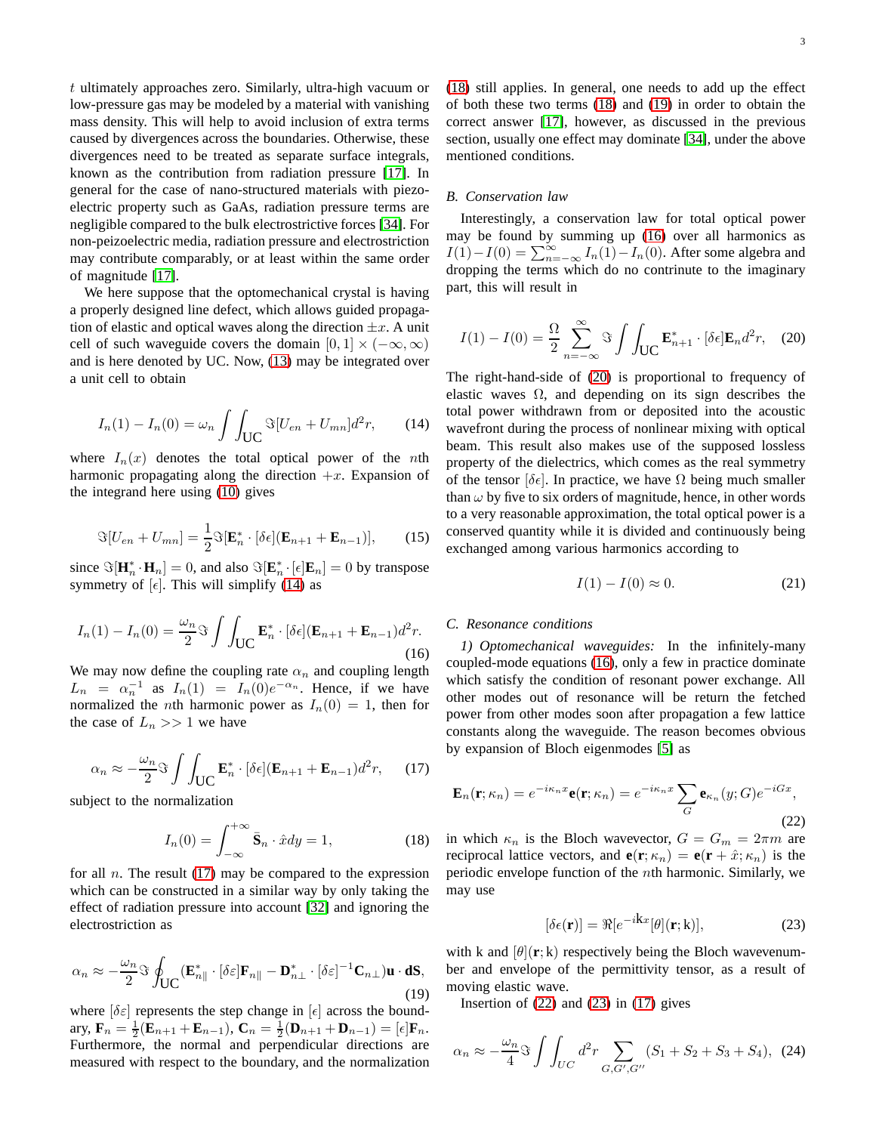t ultimately approaches zero. Similarly, ultra-high vacuum or low-pressure gas may be modeled by a material with vanishing mass density. This will help to avoid inclusion of extra terms caused by divergences across the boundaries. Otherwise, these divergences need to be treated as separate surface integrals, known as the contribution from radiation pressure [\[17\]](#page-4-16). In general for the case of nano-structured materials with piezoelectric property such as GaAs, radiation pressure terms are negligible compared to the bulk electrostrictive forces [\[34\]](#page-5-7). For non-peizoelectric media, radiation pressure and electrostriction may contribute comparably, or at least within the same order of magnitude [\[17\]](#page-4-16).

We here suppose that the optomechanical crystal is having a properly designed line defect, which allows guided propagation of elastic and optical waves along the direction  $\pm x$ . A unit cell of such waveguide covers the domain  $[0, 1] \times (-\infty, \infty)$ and is here denoted by UC. Now, [\(13\)](#page-1-4) may be integrated over a unit cell to obtain

<span id="page-2-0"></span>
$$
I_n(1) - I_n(0) = \omega_n \int \int_{\text{UC}} \Im[U_{en} + U_{mn}] d^2 r,\qquad(14)
$$

where  $I_n(x)$  denotes the total optical power of the nth harmonic propagating along the direction  $+x$ . Expansion of the integrand here using [\(10\)](#page-1-5) gives

<span id="page-2-9"></span>
$$
\Im[U_{en} + U_{mn}] = \frac{1}{2} \Im[\mathbf{E}_n^* \cdot [\delta \epsilon] (\mathbf{E}_{n+1} + \mathbf{E}_{n-1})], \quad (15)
$$

since  $\Im[\mathbf{H}_n^* \cdot \mathbf{H}_n] = 0$ , and also  $\Im[\mathbf{E}_n^* \cdot [\epsilon] \mathbf{E}_n] = 0$  by transpose symmetry of [ $\epsilon$ ]. This will simplify [\(14\)](#page-2-0) as

<span id="page-2-4"></span>
$$
I_n(1) - I_n(0) = \frac{\omega_n}{2} \Im \int \int_{\text{UC}} \mathbf{E}_n^* \cdot [\delta \epsilon] (\mathbf{E}_{n+1} + \mathbf{E}_{n-1}) d^2 r. \tag{16}
$$

We may now define the coupling rate  $\alpha_n$  and coupling length  $L_n = \alpha_n^{-1}$  as  $I_n(1) = I_n(0)e^{-\alpha_n}$ . Hence, if we have normalized the *n*th harmonic power as  $I_n(0) = 1$ , then for the case of  $L_n >> 1$  we have

<span id="page-2-1"></span>
$$
\alpha_n \approx -\frac{\omega_n}{2} \Im \int \int_{\text{UC}} \mathbf{E}_n^* \cdot [\delta \epsilon] (\mathbf{E}_{n+1} + \mathbf{E}_{n-1}) d^2 r, \qquad (17)
$$

subject to the normalization

<span id="page-2-2"></span>
$$
I_n(0) = \int_{-\infty}^{+\infty} \bar{\mathbf{S}}_n \cdot \hat{x} dy = 1,
$$
 (18)

for all  $n$ . The result [\(17\)](#page-2-1) may be compared to the expression which can be constructed in a similar way by only taking the effect of radiation pressure into account [\[32\]](#page-5-5) and ignoring the electrostriction as

<span id="page-2-3"></span>
$$
\alpha_n \approx -\frac{\omega_n}{2} \Im \oint_{\mathbf{UC}} (\mathbf{E}_{n\parallel}^* \cdot [\delta \varepsilon] \mathbf{F}_{n\parallel} - \mathbf{D}_{n\perp}^* \cdot [\delta \varepsilon]^{-1} \mathbf{C}_{n\perp}) \mathbf{u} \cdot \mathbf{dS},\tag{19}
$$

where  $[\delta \varepsilon]$  represents the step change in  $[\varepsilon]$  across the bound- $\mathbf{r}_n = \frac{1}{2} (\mathbf{E}_{n+1} + \mathbf{E}_{n-1}), \, \mathbf{C}_n = \frac{1}{2} (\mathbf{D}_{n+1} + \mathbf{D}_{n-1}) = [\epsilon] \mathbf{F}_n.$ Furthermore, the normal and perpendicular directions are measured with respect to the boundary, and the normalization [\(18\)](#page-2-2) still applies. In general, one needs to add up the effect of both these two terms [\(18\)](#page-2-2) and [\(19\)](#page-2-3) in order to obtain the correct answer [\[17\]](#page-4-16), however, as discussed in the previous section, usually one effect may dominate [\[34\]](#page-5-7), under the above mentioned conditions.

# *B. Conservation law*

Interestingly, a conservation law for total optical power may be found by summing up [\(16\)](#page-2-4) over all harmonics as  $I(1) - I(0) = \sum_{n=-\infty}^{\infty} I_n(1) - I_n(0)$ . After some algebra and dropping the terms which do no contrinute to the imaginary part, this will result in

<span id="page-2-5"></span>
$$
I(1) - I(0) = \frac{\Omega}{2} \sum_{n = -\infty}^{\infty} \Im \int \int_{\text{UC}} \mathbf{E}_{n+1}^* \cdot [\delta \epsilon] \mathbf{E}_n d^2 r, \quad (20)
$$

The right-hand-side of [\(20\)](#page-2-5) is proportional to frequency of elastic waves  $\Omega$ , and depending on its sign describes the total power withdrawn from or deposited into the acoustic wavefront during the process of nonlinear mixing with optical beam. This result also makes use of the supposed lossless property of the dielectrics, which comes as the real symmetry of the tensor  $[\delta \epsilon]$ . In practice, we have  $\Omega$  being much smaller than  $\omega$  by five to six orders of magnitude, hence, in other words to a very reasonable approximation, the total optical power is a conserved quantity while it is divided and continuously being exchanged among various harmonics according to

$$
I(1) - I(0) \approx 0. \tag{21}
$$

## *C. Resonance conditions*

*1) Optomechanical waveguides:* In the infinitely-many coupled-mode equations [\(16\)](#page-2-4), only a few in practice dominate which satisfy the condition of resonant power exchange. All other modes out of resonance will be return the fetched power from other modes soon after propagation a few lattice constants along the waveguide. The reason becomes obvious by expansion of Bloch eigenmodes [\[5\]](#page-4-4) as

<span id="page-2-6"></span>
$$
\mathbf{E}_n(\mathbf{r}; \kappa_n) = e^{-i\kappa_n x} \mathbf{e}(\mathbf{r}; \kappa_n) = e^{-i\kappa_n x} \sum_G \mathbf{e}_{\kappa_n}(y; G) e^{-iGx},
$$
\n(22)

in which  $\kappa_n$  is the Bloch wavevector,  $G = G_m = 2\pi m$  are reciprocal lattice vectors, and  $e(\mathbf{r}; \kappa_n) = e(\mathbf{r} + \hat{x}; \kappa_n)$  is the periodic envelope function of the nth harmonic. Similarly, we may use

<span id="page-2-7"></span>
$$
[\delta \epsilon(\mathbf{r})] = \Re[e^{-i\mathbf{k}x}[\theta](\mathbf{r}; \mathbf{k})],\tag{23}
$$

with k and  $[\theta](\mathbf{r}; k)$  respectively being the Bloch wavevenumber and envelope of the permittivity tensor, as a result of moving elastic wave.

Insertion of  $(22)$  and  $(23)$  in  $(17)$  gives

<span id="page-2-8"></span>
$$
\alpha_n \approx -\frac{\omega_n}{4} \Im \int \int_{UC} d^2 r \sum_{G, G', G''} (S_1 + S_2 + S_3 + S_4), \tag{24}
$$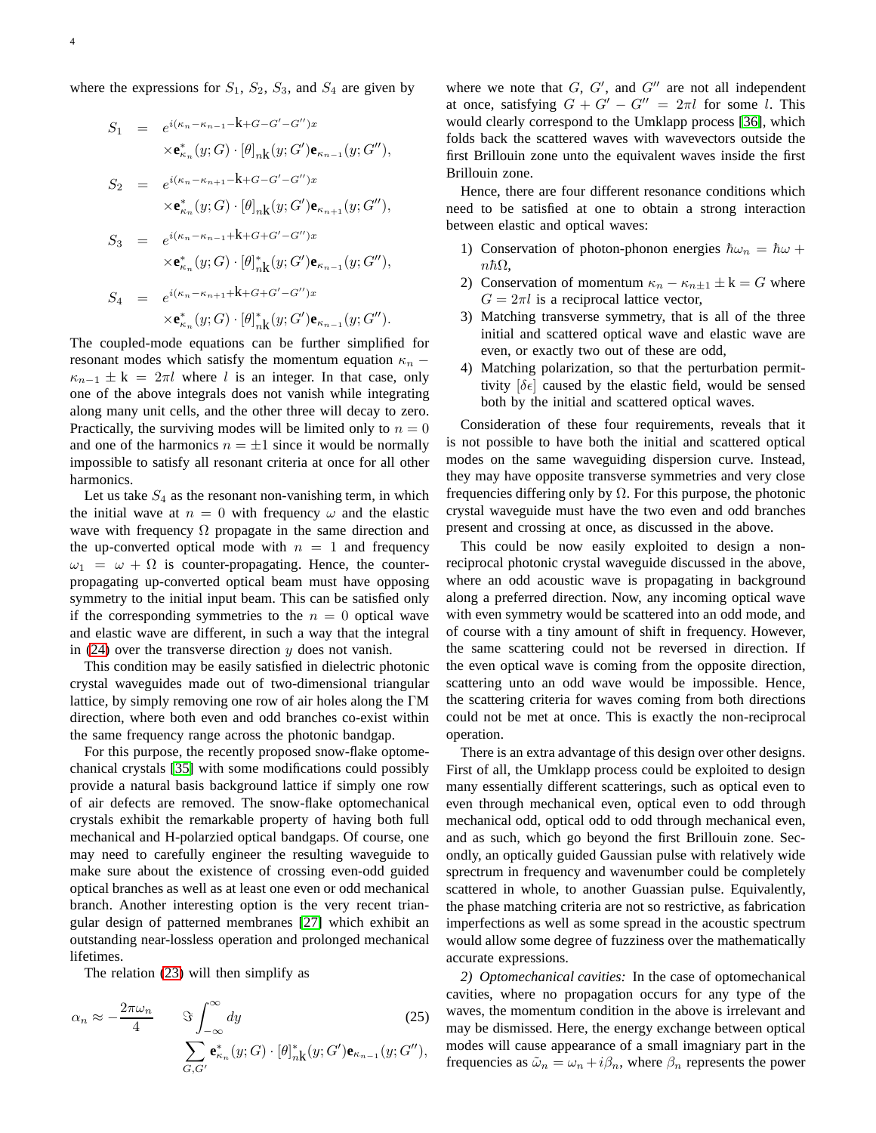where the expressions for  $S_1$ ,  $S_2$ ,  $S_3$ , and  $S_4$  are given by

$$
S_{1} = e^{i(\kappa_{n} - \kappa_{n-1} - \mathbf{k} + G - G' - G'')x}
$$
  
\n
$$
\times \mathbf{e}_{\kappa_{n}}^{*}(y; G) \cdot [\theta]_{n\mathbf{k}}(y; G') \mathbf{e}_{\kappa_{n-1}}(y; G''),
$$
  
\n
$$
S_{2} = e^{i(\kappa_{n} - \kappa_{n+1} - \mathbf{k} + G - G' - G'')x}
$$
  
\n
$$
\times \mathbf{e}_{\kappa_{n}}^{*}(y; G) \cdot [\theta]_{n\mathbf{k}}(y; G') \mathbf{e}_{\kappa_{n+1}}(y; G''),
$$
  
\n
$$
S_{3} = e^{i(\kappa_{n} - \kappa_{n-1} + \mathbf{k} + G + G' - G'')x}
$$
  
\n
$$
\times \mathbf{e}_{\kappa_{n}}^{*}(y; G) \cdot [\theta]_{n\mathbf{k}}^{*}(y; G') \mathbf{e}_{\kappa_{n-1}}(y; G''),
$$
  
\n
$$
S_{4} = e^{i(\kappa_{n} - \kappa_{n+1} + \mathbf{k} + G + G' - G'')x}
$$
  
\n
$$
\times \mathbf{e}_{\kappa_{n}}^{*}(y; G) \cdot [\theta]_{n\mathbf{k}}^{*}(y; G') \mathbf{e}_{\kappa_{n-1}}(y; G'').
$$

The coupled-mode equations can be further simplified for resonant modes which satisfy the momentum equation  $\kappa_n$  −  $\kappa_{n-1} \pm k = 2\pi l$  where l is an integer. In that case, only one of the above integrals does not vanish while integrating along many unit cells, and the other three will decay to zero. Practically, the surviving modes will be limited only to  $n = 0$ and one of the harmonics  $n = \pm 1$  since it would be normally impossible to satisfy all resonant criteria at once for all other harmonics.

Let us take  $S_4$  as the resonant non-vanishing term, in which the initial wave at  $n = 0$  with frequency  $\omega$  and the elastic wave with frequency  $\Omega$  propagate in the same direction and the up-converted optical mode with  $n = 1$  and frequency  $\omega_1 = \omega + \Omega$  is counter-propagating. Hence, the counterpropagating up-converted optical beam must have opposing symmetry to the initial input beam. This can be satisfied only if the corresponding symmetries to the  $n = 0$  optical wave and elastic wave are different, in such a way that the integral in [\(24\)](#page-2-8) over the transverse direction  $y$  does not vanish.

This condition may be easily satisfied in dielectric photonic crystal waveguides made out of two-dimensional triangular lattice, by simply removing one row of air holes along the ΓM direction, where both even and odd branches co-exist within the same frequency range across the photonic bandgap.

For this purpose, the recently proposed snow-flake optomechanical crystals [\[35\]](#page-5-8) with some modifications could possibly provide a natural basis background lattice if simply one row of air defects are removed. The snow-flake optomechanical crystals exhibit the remarkable property of having both full mechanical and H-polarzied optical bandgaps. Of course, one may need to carefully engineer the resulting waveguide to make sure about the existence of crossing even-odd guided optical branches as well as at least one even or odd mechanical branch. Another interesting option is the very recent triangular design of patterned membranes [\[27\]](#page-5-0) which exhibit an outstanding near-lossless operation and prolonged mechanical lifetimes.

The relation [\(23\)](#page-2-7) will then simplify as

$$
\alpha_n \approx -\frac{2\pi\omega_n}{4} \qquad \Im \int_{-\infty}^{\infty} dy \qquad (25)
$$

$$
\sum_{G,G'} \mathbf{e}_{\kappa_n}^*(y;G) \cdot [\theta]_{n\mathbf{k}}^*(y;G') \mathbf{e}_{\kappa_{n-1}}(y;G''),
$$

where we note that  $G, G'$ , and  $G''$  are not all independent at once, satisfying  $G + G' - G'' = 2\pi l$  for some l. This would clearly correspond to the Umklapp process [\[36\]](#page-5-9), which folds back the scattered waves with wavevectors outside the first Brillouin zone unto the equivalent waves inside the first Brillouin zone.

Hence, there are four different resonance conditions which need to be satisfied at one to obtain a strong interaction between elastic and optical waves:

- 1) Conservation of photon-phonon energies  $\hbar\omega_n = \hbar\omega +$  $n\hbar\Omega$ ,
- 2) Conservation of momentum  $\kappa_n \kappa_{n\pm 1} \pm \mathbf{k} = G$  where  $G = 2\pi l$  is a reciprocal lattice vector,
- 3) Matching transverse symmetry, that is all of the three initial and scattered optical wave and elastic wave are even, or exactly two out of these are odd,
- 4) Matching polarization, so that the perturbation permittivity  $[\delta \epsilon]$  caused by the elastic field, would be sensed both by the initial and scattered optical waves.

Consideration of these four requirements, reveals that it is not possible to have both the initial and scattered optical modes on the same waveguiding dispersion curve. Instead, they may have opposite transverse symmetries and very close frequencies differing only by  $\Omega$ . For this purpose, the photonic crystal waveguide must have the two even and odd branches present and crossing at once, as discussed in the above.

This could be now easily exploited to design a nonreciprocal photonic crystal waveguide discussed in the above, where an odd acoustic wave is propagating in background along a preferred direction. Now, any incoming optical wave with even symmetry would be scattered into an odd mode, and of course with a tiny amount of shift in frequency. However, the same scattering could not be reversed in direction. If the even optical wave is coming from the opposite direction, scattering unto an odd wave would be impossible. Hence, the scattering criteria for waves coming from both directions could not be met at once. This is exactly the non-reciprocal operation.

There is an extra advantage of this design over other designs. First of all, the Umklapp process could be exploited to design many essentially different scatterings, such as optical even to even through mechanical even, optical even to odd through mechanical odd, optical odd to odd through mechanical even, and as such, which go beyond the first Brillouin zone. Secondly, an optically guided Gaussian pulse with relatively wide sprectrum in frequency and wavenumber could be completely scattered in whole, to another Guassian pulse. Equivalently, the phase matching criteria are not so restrictive, as fabrication imperfections as well as some spread in the acoustic spectrum would allow some degree of fuzziness over the mathematically accurate expressions.

*2) Optomechanical cavities:* In the case of optomechanical cavities, where no propagation occurs for any type of the waves, the momentum condition in the above is irrelevant and may be dismissed. Here, the energy exchange between optical modes will cause appearance of a small imagniary part in the frequencies as  $\tilde{\omega}_n = \omega_n + i\beta_n$ , where  $\beta_n$  represents the power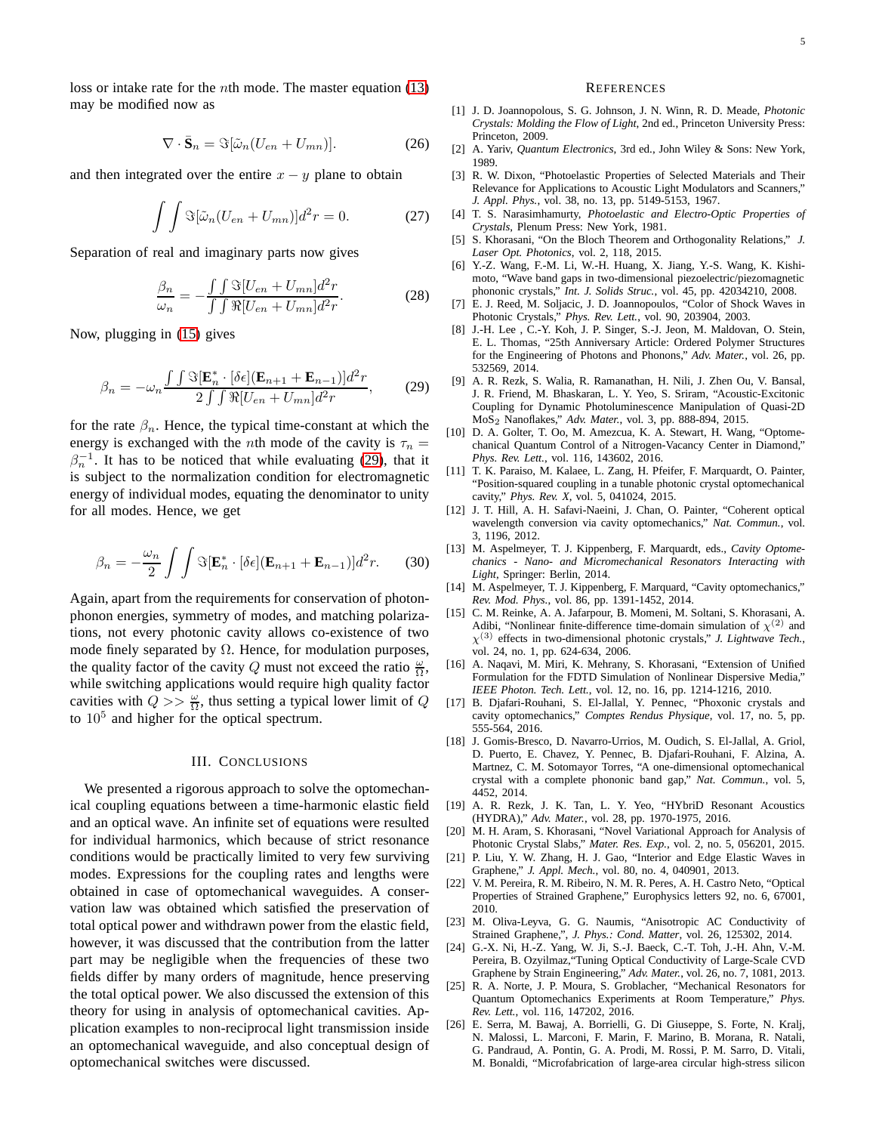loss or intake rate for the *n*th mode. The master equation [\(13\)](#page-1-4) may be modified now as

$$
\nabla \cdot \bar{\mathbf{S}}_n = \Im[\tilde{\omega}_n(U_{en} + U_{mn})]. \tag{26}
$$

and then integrated over the entire  $x - y$  plane to obtain

$$
\int \int \Im[\tilde{\omega}_n(U_{en} + U_{mn})]d^2r = 0.
$$
 (27)

Separation of real and imaginary parts now gives

$$
\frac{\beta_n}{\omega_n} = -\frac{\int \int \Im[U_{en} + U_{mn}]d^2r}{\int \int \Re[U_{en} + U_{mn}]d^2r}.\tag{28}
$$

Now, plugging in [\(15\)](#page-2-9) gives

<span id="page-4-26"></span>
$$
\beta_n = -\omega_n \frac{\int \int \Im[\mathbf{E}_n^* \cdot [\delta \epsilon] (\mathbf{E}_{n+1} + \mathbf{E}_{n-1})] d^2 r}{2 \int \int \Re[U_{en} + U_{mn}] d^2 r}, \qquad (29)
$$

for the rate  $\beta_n$ . Hence, the typical time-constant at which the energy is exchanged with the *n*th mode of the cavity is  $\tau_n =$  $\beta_n^{-1}$ . It has to be noticed that while evaluating [\(29\)](#page-4-26), that it is subject to the normalization condition for electromagnetic energy of individual modes, equating the denominator to unity for all modes. Hence, we get

$$
\beta_n = -\frac{\omega_n}{2} \int \int \Im[\mathbf{E}_n^* \cdot [\delta \epsilon] (\mathbf{E}_{n+1} + \mathbf{E}_{n-1})] d^2 r. \tag{30}
$$

Again, apart from the requirements for conservation of photonphonon energies, symmetry of modes, and matching polarizations, not every photonic cavity allows co-existence of two mode finely separated by  $Ω$ . Hence, for modulation purposes, the quality factor of the cavity Q must not exceed the ratio  $\frac{\omega}{\Omega}$ , while switching applications would require high quality factor cavities with  $Q \gg \frac{\omega}{\Omega}$ , thus setting a typical lower limit of Q to  $10<sup>5</sup>$  and higher for the optical spectrum.

#### III. CONCLUSIONS

We presented a rigorous approach to solve the optomechanical coupling equations between a time-harmonic elastic field and an optical wave. An infinite set of equations were resulted for individual harmonics, which because of strict resonance conditions would be practically limited to very few surviving modes. Expressions for the coupling rates and lengths were obtained in case of optomechanical waveguides. A conservation law was obtained which satisfied the preservation of total optical power and withdrawn power from the elastic field, however, it was discussed that the contribution from the latter part may be negligible when the frequencies of these two fields differ by many orders of magnitude, hence preserving the total optical power. We also discussed the extension of this theory for using in analysis of optomechanical cavities. Application examples to non-reciprocal light transmission inside an optomechanical waveguide, and also conceptual design of optomechanical switches were discussed.

#### **REFERENCES**

- <span id="page-4-0"></span>[1] J. D. Joannopolous, S. G. Johnson, J. N. Winn, R. D. Meade, *Photonic Crystals: Molding the Flow of Light*, 2nd ed., Princeton University Press: Princeton, 2009.
- <span id="page-4-2"></span><span id="page-4-1"></span>[2] A. Yariv, *Quantum Electronics*, 3rd ed., John Wiley & Sons: New York, 1989.
- [3] R. W. Dixon, "Photoelastic Properties of Selected Materials and Their Relevance for Applications to Acoustic Light Modulators and Scanners," *J. Appl. Phys.*, vol. 38, no. 13, pp. 5149-5153, 1967.
- <span id="page-4-3"></span>[4] T. S. Narasimhamurty, *Photoelastic and Electro-Optic Properties of Crystals*, Plenum Press: New York, 1981.
- <span id="page-4-4"></span>[5] S. Khorasani, "On the Bloch Theorem and Orthogonality Relations," *J. Laser Opt. Photonics*, vol. 2, 118, 2015.
- <span id="page-4-5"></span>[6] Y.-Z. Wang, F.-M. Li, W.-H. Huang, X. Jiang, Y.-S. Wang, K. Kishimoto, "Wave band gaps in two-dimensional piezoelectric/piezomagnetic phononic crystals," *Int. J. Solids Struc.*, vol. 45, pp. 42034210, 2008.
- <span id="page-4-6"></span>[7] E. J. Reed, M. Soljacic, J. D. Joannopoulos, "Color of Shock Waves in Photonic Crystals," *Phys. Rev. Lett.*, vol. 90, 203904, 2003.
- <span id="page-4-7"></span>[8] J.-H. Lee , C.-Y. Koh, J. P. Singer, S.-J. Jeon, M. Maldovan, O. Stein, E. L. Thomas, "25th Anniversary Article: Ordered Polymer Structures for the Engineering of Photons and Phonons," *Adv. Mater.*, vol. 26, pp. 532569, 2014.
- <span id="page-4-8"></span>[9] A. R. Rezk, S. Walia, R. Ramanathan, H. Nili, J. Zhen Ou, V. Bansal, J. R. Friend, M. Bhaskaran, L. Y. Yeo, S. Sriram, "Acoustic-Excitonic Coupling for Dynamic Photoluminescence Manipulation of Quasi-2D MoS<sup>2</sup> Nanoflakes," *Adv. Mater.*, vol. 3, pp. 888-894, 2015.
- <span id="page-4-9"></span>[10] D. A. Golter, T. Oo, M. Amezcua, K. A. Stewart, H. Wang, "Optomechanical Quantum Control of a Nitrogen-Vacancy Center in Diamond," *Phys. Rev. Lett.*, vol. 116, 143602, 2016.
- <span id="page-4-10"></span>[11] T. K. Paraiso, M. Kalaee, L. Zang, H. Pfeifer, F. Marquardt, O. Painter, "Position-squared coupling in a tunable photonic crystal optomechanical cavity," *Phys. Rev. X*, vol. 5, 041024, 2015.
- <span id="page-4-11"></span>[12] J. T. Hill, A. H. Safavi-Naeini, J. Chan, O. Painter, "Coherent optical wavelength conversion via cavity optomechanics," *Nat. Commun.*, vol. 3, 1196, 2012.
- <span id="page-4-12"></span>[13] M. Aspelmeyer, T. J. Kippenberg, F. Marquardt, eds., *Cavity Optomechanics - Nano- and Micromechanical Resonators Interacting with Light*, Springer: Berlin, 2014.
- <span id="page-4-13"></span>[14] M. Aspelmeyer, T. J. Kippenberg, F. Marquard, "Cavity optomechanics," *Rev. Mod. Phys.*, vol. 86, pp. 1391-1452, 2014.
- <span id="page-4-14"></span>[15] C. M. Reinke, A. A. Jafarpour, B. Momeni, M. Soltani, S. Khorasani, A. Adibi, "Nonlinear finite-difference time-domain simulation of  $\chi^{(2)}$  and  $\chi^{(3)}$  effects in two-dimensional photonic crystals," *J. Lightwave Tech.*, vol. 24, no. 1, pp. 624-634, 2006.
- <span id="page-4-15"></span>[16] A. Naqavi, M. Miri, K. Mehrany, S. Khorasani, "Extension of Unified Formulation for the FDTD Simulation of Nonlinear Dispersive Media," *IEEE Photon. Tech. Lett.*, vol. 12, no. 16, pp. 1214-1216, 2010.
- <span id="page-4-16"></span>[17] B. Djafari-Rouhani, S. El-Jallal, Y. Pennec, "Phoxonic crystals and cavity optomechanics," *Comptes Rendus Physique*, vol. 17, no. 5, pp. 555-564, 2016.
- <span id="page-4-17"></span>[18] J. Gomis-Bresco, D. Navarro-Urrios, M. Oudich, S. El-Jallal, A. Griol, D. Puerto, E. Chavez, Y. Pennec, B. Djafari-Rouhani, F. Alzina, A. Martnez, C. M. Sotomayor Torres, "A one-dimensional optomechanical crystal with a complete phononic band gap," *Nat. Commun.*, vol. 5, 4452, 2014.
- <span id="page-4-18"></span>[19] A. R. Rezk, J. K. Tan, L. Y. Yeo, "HYbriD Resonant Acoustics (HYDRA)," *Adv. Mater.*, vol. 28, pp. 1970-1975, 2016.
- <span id="page-4-19"></span>[20] M. H. Aram, S. Khorasani, "Novel Variational Approach for Analysis of Photonic Crystal Slabs," *Mater. Res. Exp.*, vol. 2, no. 5, 056201, 2015.
- <span id="page-4-20"></span>[21] P. Liu, Y. W. Zhang, H. J. Gao, "Interior and Edge Elastic Waves in Graphene," *J. Appl. Mech.*, vol. 80, no. 4, 040901, 2013.
- <span id="page-4-21"></span>[22] V. M. Pereira, R. M. Ribeiro, N. M. R. Peres, A. H. Castro Neto, "Optical Properties of Strained Graphene," Europhysics letters 92, no. 6, 67001, 2010.
- <span id="page-4-22"></span>[23] M. Oliva-Leyva, G. G. Naumis, "Anisotropic AC Conductivity of Strained Graphene,", *J. Phys.: Cond. Matter*, vol. 26, 125302, 2014.
- <span id="page-4-23"></span>[24] G.-X. Ni, H.-Z. Yang, W. Ji, S.-J. Baeck, C.-T. Toh, J.-H. Ahn, V.-M. Pereira, B. Ozyilmaz,"Tuning Optical Conductivity of Large-Scale CVD Graphene by Strain Engineering," *Adv. Mater.*, vol. 26, no. 7, 1081, 2013.
- <span id="page-4-24"></span>[25] R. A. Norte, J. P. Moura, S. Groblacher, "Mechanical Resonators for Quantum Optomechanics Experiments at Room Temperature," *Phys. Rev. Lett.*, vol. 116, 147202, 2016.
- <span id="page-4-25"></span>[26] E. Serra, M. Bawaj, A. Borrielli, G. Di Giuseppe, S. Forte, N. Kralj, N. Malossi, L. Marconi, F. Marin, F. Marino, B. Morana, R. Natali, G. Pandraud, A. Pontin, G. A. Prodi, M. Rossi, P. M. Sarro, D. Vitali, M. Bonaldi, "Microfabrication of large-area circular high-stress silicon